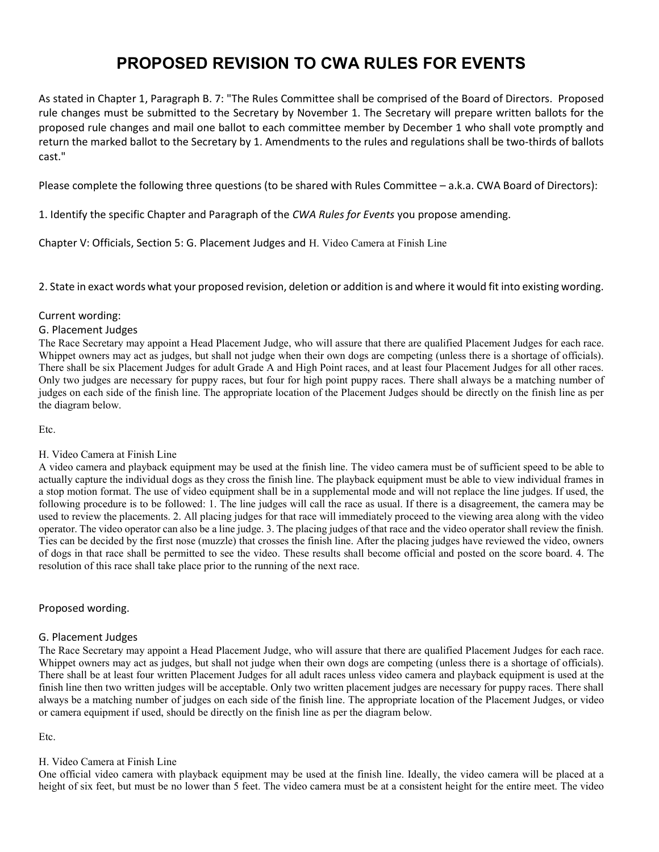# PROPOSED REVISION TO CWA RULES FOR EVENTS

As stated in Chapter 1, Paragraph B. 7: "The Rules Committee shall be comprised of the Board of Directors. Proposed rule changes must be submitted to the Secretary by November 1. The Secretary will prepare written ballots for the proposed rule changes and mail one ballot to each committee member by December 1 who shall vote promptly and return the marked ballot to the Secretary by 1. Amendments to the rules and regulations shall be two-thirds of ballots cast."

Please complete the following three questions (to be shared with Rules Committee – a.k.a. CWA Board of Directors):

1. Identify the specific Chapter and Paragraph of the CWA Rules for Events you propose amending.

Chapter V: Officials, Section 5: G. Placement Judges and H. Video Camera at Finish Line

2. State in exact words what your proposed revision, deletion or addition is and where it would fit into existing wording.

## Current wording:

## G. Placement Judges

The Race Secretary may appoint a Head Placement Judge, who will assure that there are qualified Placement Judges for each race. Whippet owners may act as judges, but shall not judge when their own dogs are competing (unless there is a shortage of officials). There shall be six Placement Judges for adult Grade A and High Point races, and at least four Placement Judges for all other races. Only two judges are necessary for puppy races, but four for high point puppy races. There shall always be a matching number of judges on each side of the finish line. The appropriate location of the Placement Judges should be directly on the finish line as per the diagram below.

Etc.

## H. Video Camera at Finish Line

A video camera and playback equipment may be used at the finish line. The video camera must be of sufficient speed to be able to actually capture the individual dogs as they cross the finish line. The playback equipment must be able to view individual frames in a stop motion format. The use of video equipment shall be in a supplemental mode and will not replace the line judges. If used, the following procedure is to be followed: 1. The line judges will call the race as usual. If there is a disagreement, the camera may be used to review the placements. 2. All placing judges for that race will immediately proceed to the viewing area along with the video operator. The video operator can also be a line judge. 3. The placing judges of that race and the video operator shall review the finish. Ties can be decided by the first nose (muzzle) that crosses the finish line. After the placing judges have reviewed the video, owners of dogs in that race shall be permitted to see the video. These results shall become official and posted on the score board. 4. The resolution of this race shall take place prior to the running of the next race.

## Proposed wording.

## G. Placement Judges

The Race Secretary may appoint a Head Placement Judge, who will assure that there are qualified Placement Judges for each race. Whippet owners may act as judges, but shall not judge when their own dogs are competing (unless there is a shortage of officials). There shall be at least four written Placement Judges for all adult races unless video camera and playback equipment is used at the finish line then two written judges will be acceptable. Only two written placement judges are necessary for puppy races. There shall always be a matching number of judges on each side of the finish line. The appropriate location of the Placement Judges, or video or camera equipment if used, should be directly on the finish line as per the diagram below.

Etc.

## H. Video Camera at Finish Line

One official video camera with playback equipment may be used at the finish line. Ideally, the video camera will be placed at a height of six feet, but must be no lower than 5 feet. The video camera must be at a consistent height for the entire meet. The video